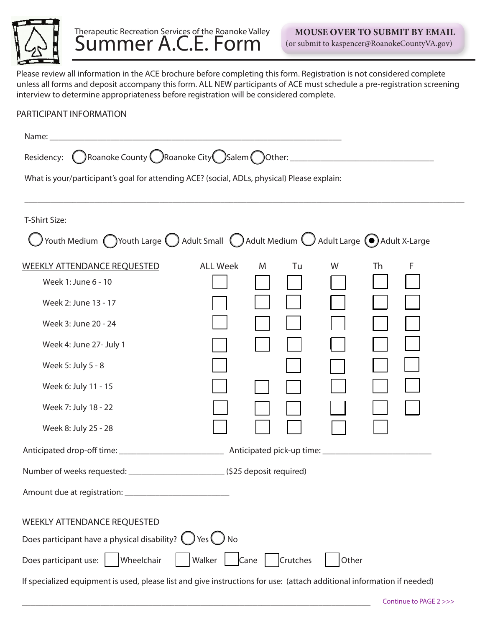

## Therapeutic Recreation Services of the Roanoke Valley Summer A.C.E. Form

Please review all information in the ACE brochure before completing this form. Registration is not considered complete unless all forms and deposit accompany this form. ALL NEW participants of ACE must schedule a pre-registration screening interview to determine appropriateness before registration will be considered complete.

## PARTICIPANT INFORMATION

| Name:                                                                                                                               |                 |         |       |         |  |
|-------------------------------------------------------------------------------------------------------------------------------------|-----------------|---------|-------|---------|--|
| Residency: CRoanoke County CRoanoke City CSalem COther: ________________________                                                    |                 |         |       |         |  |
| What is your/participant's goal for attending ACE? (social, ADLs, physical) Please explain:                                         |                 |         |       |         |  |
|                                                                                                                                     |                 |         |       |         |  |
| T-Shirt Size:                                                                                                                       |                 |         |       |         |  |
| ) Youth Medium $\bigcap$ Youth Large $\bigcirc$ Adult Small $\bigcirc$ Adult Medium $\bigcirc$ Adult Large $\bigcirc$ Adult X-Large |                 |         |       |         |  |
| <b>WEEKLY ATTENDANCE REQUESTED</b>                                                                                                  | <b>ALL Week</b> | Tu<br>M | W     | F<br>Th |  |
| Week 1: June 6 - 10                                                                                                                 |                 |         |       |         |  |
| Week 2: June 13 - 17                                                                                                                |                 |         |       |         |  |
| Week 3: June 20 - 24                                                                                                                |                 |         |       |         |  |
| Week 4: June 27- July 1                                                                                                             |                 |         |       |         |  |
| Week 5: July 5 - 8                                                                                                                  |                 |         |       |         |  |
| Week 6: July 11 - 15                                                                                                                |                 |         |       |         |  |
| Week 7: July 18 - 22                                                                                                                |                 |         |       |         |  |
| Week 8: July 25 - 28                                                                                                                |                 |         |       |         |  |
|                                                                                                                                     |                 |         |       |         |  |
| Number of weeks requested: ______________________________(\$25 deposit required)                                                    |                 |         |       |         |  |
|                                                                                                                                     |                 |         |       |         |  |
| <b>WEEKLY ATTENDANCE REQUESTED</b>                                                                                                  |                 |         |       |         |  |
| Does participant have a physical disability? $\bigcirc$ Yes $\bigcirc$ No                                                           |                 |         |       |         |  |
| Does participant use: Wheelchair   Walker   Cane Crutches                                                                           |                 |         | Other |         |  |
| If specialized equipment is used, please list and give instructions for use: (attach additional information if needed)              |                 |         |       |         |  |

\_\_\_\_\_\_\_\_\_\_\_\_\_\_\_\_\_\_\_\_\_\_\_\_\_\_\_\_\_\_\_\_\_\_\_\_\_\_\_\_\_\_\_\_\_\_\_\_\_\_\_\_\_\_\_\_\_\_\_\_\_\_\_\_\_\_\_\_\_\_\_\_\_\_\_\_\_\_\_\_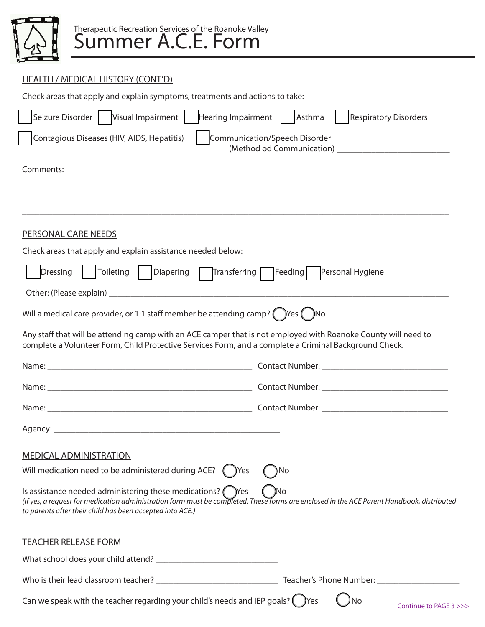

## HEALTH / MEDICAL HISTORY (CONT'D)

| Check areas that apply and explain symptoms, treatments and actions to take:                                                                                                                                                                                         |                                        |  |  |  |
|----------------------------------------------------------------------------------------------------------------------------------------------------------------------------------------------------------------------------------------------------------------------|----------------------------------------|--|--|--|
| Seizure Disorder   Visual Impairment  <br>Hearing Impairment                                                                                                                                                                                                         | Asthma<br><b>Respiratory Disorders</b> |  |  |  |
| Communication/Speech Disorder<br>Contagious Diseases (HIV, AIDS, Hepatitis)                                                                                                                                                                                          |                                        |  |  |  |
|                                                                                                                                                                                                                                                                      |                                        |  |  |  |
|                                                                                                                                                                                                                                                                      |                                        |  |  |  |
|                                                                                                                                                                                                                                                                      |                                        |  |  |  |
| PERSONAL CARE NEEDS                                                                                                                                                                                                                                                  |                                        |  |  |  |
| Check areas that apply and explain assistance needed below:                                                                                                                                                                                                          |                                        |  |  |  |
| Toileting   Diapering<br><b>Dressing</b><br>Transferring                                                                                                                                                                                                             | Personal Hygiene<br>Feeding            |  |  |  |
|                                                                                                                                                                                                                                                                      |                                        |  |  |  |
| Will a medical care provider, or 1:1 staff member be attending camp? $($ Yes $($ Xo                                                                                                                                                                                  |                                        |  |  |  |
| Any staff that will be attending camp with an ACE camper that is not employed with Roanoke County will need to<br>complete a Volunteer Form, Child Protective Services Form, and a complete a Criminal Background Check.                                             |                                        |  |  |  |
|                                                                                                                                                                                                                                                                      |                                        |  |  |  |
|                                                                                                                                                                                                                                                                      |                                        |  |  |  |
|                                                                                                                                                                                                                                                                      |                                        |  |  |  |
|                                                                                                                                                                                                                                                                      |                                        |  |  |  |
| <b>MEDICAL ADMINISTRATION</b>                                                                                                                                                                                                                                        |                                        |  |  |  |
| Will medication need to be administered during ACE?<br>) Yes                                                                                                                                                                                                         | ۱No                                    |  |  |  |
| Is assistance needed administering these medications? (Nes<br>(If yes, a request for medication administration form must be completed. These forms are enclosed in the ACE Parent Handbook, distributed<br>to parents after their child has been accepted into ACE.) | )No                                    |  |  |  |
| <b>TEACHER RELEASE FORM</b>                                                                                                                                                                                                                                          |                                        |  |  |  |
|                                                                                                                                                                                                                                                                      |                                        |  |  |  |
|                                                                                                                                                                                                                                                                      |                                        |  |  |  |
| Can we speak with the teacher regarding your child's needs and IEP goals? $\binom{ }{ }$ Yes                                                                                                                                                                         | <b>No</b><br>Continue to PAGE 3 >>>    |  |  |  |